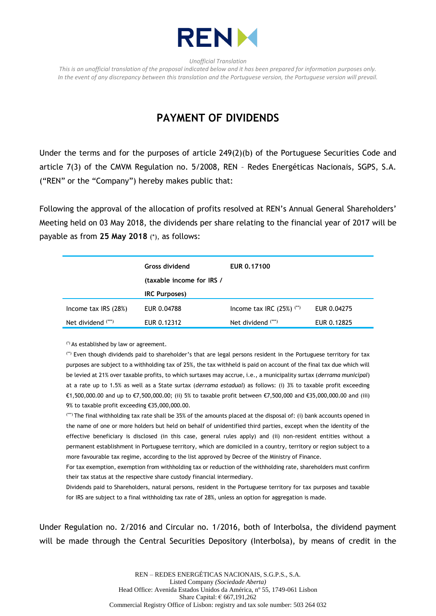

*Unofficial Translation*

*This is an unofficial translation of the proposal indicated below and it has been prepared for information purposes only. In the event of any discrepancy between this translation and the Portuguese version, the Portuguese version will prevail.*

## **PAYMENT OF DIVIDENDS**

Under the terms and for the purposes of article 249(2)(b) of the Portuguese Securities Code and article 7(3) of the CMVM Regulation no. 5/2008, REN – Redes Energéticas Nacionais, SGPS, S.A. ("REN" or the "Company") hereby makes public that:

Following the approval of the allocation of profits resolved at REN's Annual General Shareholders' Meeting held on 03 May 2018, the dividends per share relating to the financial year of 2017 will be payable as from **25 May 2018** (\*), as follows:

|                        | <b>Gross dividend</b><br>(taxable income for IRS / | EUR 0.17100                  |             |
|------------------------|----------------------------------------------------|------------------------------|-------------|
|                        | <b>IRC Purposes)</b>                               |                              |             |
| Income tax $IRS (28%)$ | EUR 0.04788                                        | Income tax IRC $(25%)$ $(*)$ | EUR 0.04275 |
| Net dividend (***)     | EUR 0.12312                                        | Net dividend $(***)$         | EUR 0.12825 |

(\*) As established by law or agreement.

(\*\*) Even though dividends paid to shareholder's that are legal persons resident in the Portuguese territory for tax purposes are subject to a withholding tax of 25%, the tax withheld is paid on account of the final tax due which will be levied at 21% over taxable profits, to which surtaxes may accrue, i.e., a municipality surtax (*derrama municipal*) at a rate up to 1.5% as well as a State surtax (*derrama estadual*) as follows: (i) 3% to taxable profit exceeding €1,500,000.00 and up to €7,500,000.00; (ii) 5% to taxable profit between €7,500,000 and €35,000,000.00 and (iii) 9% to taxable profit exceeding €35,000,000,00.

(\*\*\*) The final withholding tax rate shall be 35% of the amounts placed at the disposal of: (i) bank accounts opened in the name of one or more holders but held on behalf of unidentified third parties, except when the identity of the effective beneficiary is disclosed (in this case, general rules apply) and (ii) non-resident entities without a permanent establishment in Portuguese territory, which are domiciled in a country, territory or region subject to a more favourable tax regime, according to the list approved by Decree of the Ministry of Finance.

For tax exemption, exemption from withholding tax or reduction of the withholding rate, shareholders must confirm their tax status at the respective share custody financial intermediary.

Dividends paid to Shareholders, natural persons, resident in the Portuguese territory for tax purposes and taxable for IRS are subject to a final withholding tax rate of 28%, unless an option for aggregation is made.

Under Regulation no. 2/2016 and Circular no. 1/2016, both of Interbolsa, the dividend payment will be made through the Central Securities Depository (Interbolsa), by means of credit in the